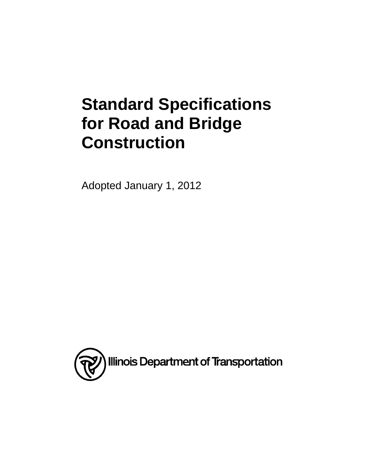# **Standard Specifications for Road and Bridge Construction**

Adopted January 1, 2012

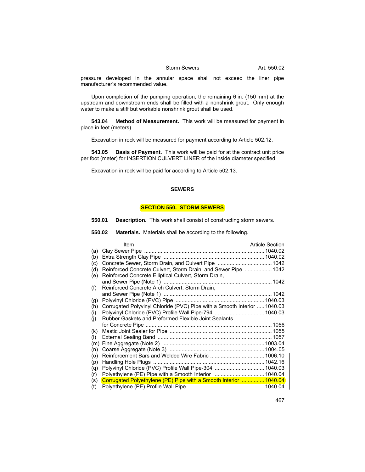pressure developed in the annular space shall not exceed the liner pipe manufacturer's recommended value.

Upon completion of the pumping operation, the remaining 6 in. (150 mm) at the upstream and downstream ends shall be filled with a nonshrink grout. Only enough water to make a stiff but workable nonshrink grout shall be used.

**543.04 Method of Measurement.** This work will be measured for payment in place in feet (meters).

Excavation in rock will be measured for payment according to Article 502.12.

**543.05 Basis of Payment.** This work will be paid for at the contract unit price per foot (meter) for INSERTION CULVERT LINER of the inside diameter specified.

Excavation in rock will be paid for according to Article 502.13.

### **SEWERS**

### **SECTION 550. STORM SEWERS**

- **550.01 Description.** This work shall consist of constructing storm sewers.
- **550.02 Materials.** Materials shall be according to the following.

|     | Item                                                                     | <b>Article Section</b> |
|-----|--------------------------------------------------------------------------|------------------------|
| (a) |                                                                          |                        |
| (b) |                                                                          |                        |
| (c) |                                                                          |                        |
| (d) | Reinforced Concrete Culvert, Storm Drain, and Sewer Pipe  1042           |                        |
| (e) | Reinforced Concrete Elliptical Culvert, Storm Drain,                     |                        |
|     |                                                                          |                        |
| (f) | Reinforced Concrete Arch Culvert, Storm Drain,                           |                        |
|     |                                                                          |                        |
| (g) |                                                                          |                        |
| (h) | Corrugated Polyvinyl Chloride (PVC) Pipe with a Smooth Interior  1040.03 |                        |
| (i) | Polyvinyl Chloride (PVC) Profile Wall Pipe-794  1040.03                  |                        |
| (i) | Rubber Gaskets and Preformed Flexible Joint Sealants                     |                        |
|     |                                                                          |                        |
| (k) |                                                                          |                        |
| (1) |                                                                          |                        |
| (m) |                                                                          |                        |
| (n) |                                                                          |                        |
| (0) |                                                                          |                        |
| (p) |                                                                          |                        |
| (q) | Polyvinyl Chloride (PVC) Profile Wall Pipe-304  1040.03                  |                        |
| (r) |                                                                          |                        |
| (s) | Corrugated Polyethylene (PE) Pipe with a Smooth Interior  1040.04        |                        |
| (t) |                                                                          |                        |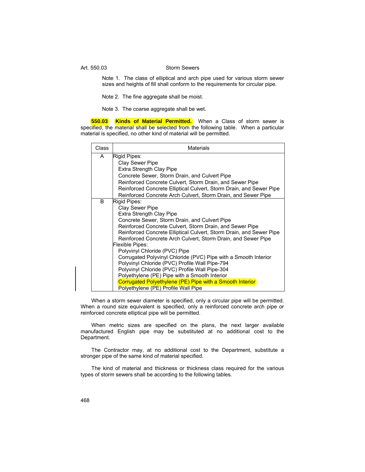Note 1. The class of elliptical and arch pipe used for various storm sewer sizes and heights of fill shall conform to the requirements for circular pipe.

Note 2. The fine aggregate shall be moist.

Note 3. The coarse aggregate shall be wet.

**550.03 Kinds of Material Permitted.** When a Class of storm sewer is specified, the material shall be selected from the following table. When a particular material is specified, no other kind of material will be permitted.

| Class | Materials                                                                                                                                                                                                                                                                                                                                                                                                                                                                                                                                                                                                                                                                                                                                                               |
|-------|-------------------------------------------------------------------------------------------------------------------------------------------------------------------------------------------------------------------------------------------------------------------------------------------------------------------------------------------------------------------------------------------------------------------------------------------------------------------------------------------------------------------------------------------------------------------------------------------------------------------------------------------------------------------------------------------------------------------------------------------------------------------------|
| A     | Rigid Pipes:<br><b>Clay Sewer Pipe</b><br>Extra Strength Clay Pipe<br>Concrete Sewer, Storm Drain, and Culvert Pipe<br>Reinforced Concrete Culvert, Storm Drain, and Sewer Pipe<br>Reinforced Concrete Elliptical Culvert, Storm Drain, and Sewer Pipe                                                                                                                                                                                                                                                                                                                                                                                                                                                                                                                  |
| B     | Reinforced Concrete Arch Culvert, Storm Drain, and Sewer Pipe<br>Rigid Pipes:<br>Clay Sewer Pipe<br>Extra Strength Clay Pipe<br>Concrete Sewer, Storm Drain, and Culvert Pipe<br>Reinforced Concrete Culvert, Storm Drain, and Sewer Pipe<br>Reinforced Concrete Elliptical Culvert, Storm Drain, and Sewer Pipe<br>Reinforced Concrete Arch Culvert, Storm Drain, and Sewer Pipe<br><b>Flexible Pipes:</b><br>Polyvinyl Chloride (PVC) Pipe<br>Corrugated Polyvinyl Chloride (PVC) Pipe with a Smooth Interior<br>Polyvinyl Chloride (PVC) Profile Wall Pipe-794<br>Polyvinyl Chloride (PVC) Profile Wall Pipe-304<br>Polyethylene (PE) Pipe with a Smooth Interior<br>Corrugated Polyethylene (PE) Pipe with a Smooth Interior<br>Polyethylene (PE) Profile Wall Pipe |

When a storm sewer diameter is specified, only a circular pipe will be permitted. When a round size equivalent is specified, only a reinforced concrete arch pipe or reinforced concrete elliptical pipe will be permitted.

When metric sizes are specified on the plans, the next larger available manufactured English pipe may be substituted at no additional cost to the Department.

The Contractor may, at no additional cost to the Department, substitute a stronger pipe of the same kind of material specified.

The kind of material and thickness or thickness class required for the various types of storm sewers shall be according to the following tables.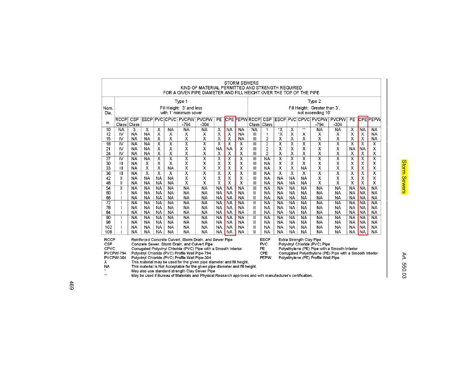|                 | <b>STORM SEWERS</b><br>KIND OF MATERIAL PERMITTED AND STRENGTH REQUIRED                                                        |                 |                         |                         |                         |                                                |                                                                        |                                                                    |                                                                                        |                         |                                           |                               |                                                          |                             |                                  |                                     |                         |                         |                           |                         |  |
|-----------------|--------------------------------------------------------------------------------------------------------------------------------|-----------------|-------------------------|-------------------------|-------------------------|------------------------------------------------|------------------------------------------------------------------------|--------------------------------------------------------------------|----------------------------------------------------------------------------------------|-------------------------|-------------------------------------------|-------------------------------|----------------------------------------------------------|-----------------------------|----------------------------------|-------------------------------------|-------------------------|-------------------------|---------------------------|-------------------------|--|
|                 |                                                                                                                                |                 |                         |                         |                         |                                                |                                                                        | FOR A GIVEN PIPE DIAMETER AND FILL HEIGHT OVER THE TOP OF THE PIPE |                                                                                        |                         |                                           |                               |                                                          |                             |                                  |                                     |                         |                         |                           |                         |  |
|                 | Type 1                                                                                                                         |                 |                         |                         |                         |                                                |                                                                        |                                                                    |                                                                                        |                         | Type 2                                    |                               |                                                          |                             |                                  |                                     |                         |                         |                           |                         |  |
| Nom.            | Fill Height: 3' and less                                                                                                       |                 |                         |                         |                         |                                                |                                                                        |                                                                    |                                                                                        |                         |                                           | Fill Height: Greater than 3', |                                                          |                             |                                  |                                     |                         |                         |                           |                         |  |
| Dia.            | with 1' minimum cover                                                                                                          |                 |                         |                         |                         |                                                |                                                                        |                                                                    |                                                                                        |                         | not exceeding 10'                         |                               |                                                          |                             |                                  |                                     |                         |                         |                           |                         |  |
| in.             | <b>RCCP</b><br>Class                                                                                                           | CSP<br>Class    |                         |                         |                         | ESCP PVC CPVC PVCPW PVCPW<br>$-794$            | $-304$                                                                 | <b>PE</b>                                                          |                                                                                        |                         | <b>CPE PEPWRCCP</b><br>Class <sup> </sup> | CSP<br>Class                  |                                                          |                             |                                  | ESCP PVC CPVC PVCPW<br>$-794$       | <b>PVCPW</b><br>$-304$  | PE                      |                           | <b>CPEPEPW</b>          |  |
| 10              | <b>NA</b>                                                                                                                      | 3               | X                       | X                       | NA                      | NA                                             | <b>NA</b>                                                              | $\overline{\mathsf{x}}$                                            | <b>NA</b>                                                                              | <b>NA</b>               | <b>NA</b>                                 | 1                             | $\overline{\mathsf{x}}$                                  | $\overline{\mathsf{x}}$     | $\pm\pm$                         | <b>NA</b>                           | <b>NA</b>               | Х                       | <b>NA</b>                 | NA                      |  |
| 12              | 1V                                                                                                                             | NA              | NA                      | X                       | х                       | х                                              | X                                                                      | х                                                                  | х                                                                                      | NA                      | Ш                                         | 1                             | *Χ                                                       | Х                           | х                                | Х                                   | х                       | X                       | х                         | NA                      |  |
| 15              | 1V                                                                                                                             | ΝA              | NΑ                      | х                       | х                       | х                                              | Х                                                                      | х                                                                  | х                                                                                      | NΑ                      | $\mathbf{III}$                            | 2                             | х                                                        | X                           | Χ                                | х                                   | Χ                       | х                       | х                         | N٨                      |  |
| $\overline{18}$ | $\overline{\mathsf{N}}$                                                                                                        | <b>NA</b>       | <b>NA</b>               | $\overline{\mathsf{x}}$ | $\overline{\mathsf{x}}$ | $\overline{\textsf{x}}$                        | $\overline{\mathsf{x}}$                                                | $\overline{\mathsf{x}}$                                            | $\overline{\mathsf{x}}$                                                                | $\overline{\mathsf{x}}$ | $\overline{\mathbf{m}}$                   | $\overline{2}$                | $\overline{\mathsf{x}}$                                  | $\overline{\mathsf{x}}$     | $\overline{\textsf{x}}$          | $\overline{\mathsf{x}}$             | $\overline{\mathsf{x}}$ | $\overline{\mathsf{x}}$ | $\overline{\mathsf{x}}$   | $\overline{\mathsf{x}}$ |  |
| 21              | IV                                                                                                                             | <b>NA</b>       | <b>NA</b>               | X                       | х                       | x                                              | х                                                                      | <b>NA</b>                                                          | <b>NA</b>                                                                              | х                       | $\mathbf{H}$                              | $\overline{c}$                | X                                                        | X                           | X                                | х                                   | х                       | <b>NA</b>               | <b>NA</b>                 | X                       |  |
| 24              | IV                                                                                                                             | <b>NA</b>       | NA                      | X                       | х                       | X                                              | X                                                                      | х                                                                  | Х                                                                                      | х                       | $\mathbf{H}$                              | $\overline{2}$                | X                                                        | $\boldsymbol{\mathsf{x}}$   | x                                | X                                   | χ                       | X                       | х                         | X                       |  |
| $\overline{27}$ | IV                                                                                                                             | <b>NA</b>       | <b>NA</b>               | $\overline{\mathsf{x}}$ | $\overline{\mathsf{x}}$ | $\overline{\mathsf{x}}$                        | $\overline{\textsf{x}}$                                                | $\overline{\mathsf{x}}$                                            | $\overline{\mathsf{x}}$                                                                | $\overline{\mathsf{x}}$ | $\overline{\mathsf{III}}$                 | <b>NA</b>                     | $\overline{\mathsf{x}}$                                  | $\overline{\mathsf{x}}$     | $\overline{\mathsf{x}}$          | $\overline{\mathsf{x}}$             | $\overline{\mathsf{x}}$ | $\overline{\mathsf{x}}$ | $\overline{\mathsf{x}}$   | $\overline{\mathsf{x}}$ |  |
| 30<br>33        | Ш<br>Ш                                                                                                                         | NA<br>NA        | х<br>х                  | X<br>х                  | х<br><b>NA</b>          | х<br>X                                         | X<br>χ                                                                 | X<br>х                                                             | х<br>Х                                                                                 | X<br>х                  | $\mathbf{III}$<br>$\mathbf{III}$          | <b>NA</b><br><b>NA</b>        | X<br>Χ                                                   | $\mathbf x$<br>$\pmb{\chi}$ | $\boldsymbol{\chi}$<br><b>NA</b> | x<br>х                              | х<br>Χ                  | X<br>х                  | х<br>χ                    | X<br>Χ                  |  |
| 36              | Ш                                                                                                                              | <b>NA</b>       | $\overline{\mathsf{x}}$ | $\overline{\mathsf{x}}$ | $\overline{\mathsf{x}}$ | $\overline{\mathsf{x}}$                        | $\overline{\textsf{x}}$                                                | $\overline{\mathsf{x}}$                                            | $\overline{\mathsf{x}}$                                                                | $\overline{\mathsf{x}}$ | $\overline{\mathbf{m}}$                   | <b>NA</b>                     | $\overline{\mathsf{x}}$                                  | $\overline{\mathsf{x}}$     | $\overline{\mathsf{x}}$          | $\overline{\mathsf{x}}$             | $\overline{\mathsf{x}}$ | $\overline{\textsf{x}}$ | $\overline{\chi}$         | $\overline{\mathsf{x}}$ |  |
| 42              | Ш                                                                                                                              | NA              | NA                      | NA.                     | NA                      | х                                              | х                                                                      | х                                                                  | х                                                                                      | х                       | Ш                                         | NA                            | <b>NA</b>                                                | NA                          | NA                               | Х                                   | х                       | X                       | $\boldsymbol{\mathsf{x}}$ | Χ                       |  |
| 48              | Ш                                                                                                                              | NA              | NA                      | NA.                     | NA                      | χ                                              | Χ                                                                      | х                                                                  | X                                                                                      | х                       | $\mathbf{H}$                              | NA                            | NA                                                       | NA                          | NA                               | х                                   | Χ                       | х                       | X                         | X                       |  |
| $\overline{54}$ | Ш                                                                                                                              | NA              | NA                      | NA.                     | <b>NA</b>               | <b>NA</b>                                      | <b>NA</b>                                                              | <b>NA</b>                                                          | <b>NA</b>                                                                              | <b>NA</b>               | $\overline{\mathbb{H}}$                   | NA                            | <b>NA</b>                                                | <b>NA</b>                   | NA                               | <b>NA</b>                           | <b>NA</b>               | <b>NA</b>               | <b>NA</b>                 | <b>NA</b>               |  |
| 60              |                                                                                                                                | NA              | NA                      | NA.                     | NA.                     | NA                                             | NA                                                                     | NA                                                                 | <b>NA</b>                                                                              | <b>NA</b>               | $\mathbf{II}$                             | NA                            | NA                                                       | <b>NA</b>                   | NΑ                               | NA                                  | NA                      | <b>NA</b>               | NA                        | <b>NA</b>               |  |
| 66              |                                                                                                                                | <b>NA</b>       | <b>NA</b>               | NA.                     | NA                      | NA                                             | NA                                                                     | NA.                                                                | <b>NA</b>                                                                              | <b>NA</b>               | $\mathbf{II}$                             | NA                            | <b>NA</b>                                                | <b>NA</b>                   | <b>NA</b>                        | NA                                  | NA                      | <b>NA</b>               | <b>NA</b>                 | <b>NA</b>               |  |
| $\overline{72}$ |                                                                                                                                | <b>NA</b>       | <b>NA</b>               | NA.                     | NA.                     | NA                                             | <b>NA</b>                                                              | NA                                                                 | <b>NA</b>                                                                              | <b>NA</b>               | $\mathbf{II}$                             | <b>NA</b>                     | <b>NA</b>                                                | <b>NA</b>                   | <b>NA</b>                        | <b>NA</b>                           | NA                      | <b>NA</b>               | <b>NA</b>                 | <b>NA</b>               |  |
| 78              |                                                                                                                                | NA              | <b>NA</b>               | NA.                     | <b>NA</b>               | NA                                             | <b>NA</b>                                                              | <b>NA</b>                                                          | <b>NA</b>                                                                              | <b>NA</b>               | $\mathbf{II}$                             | <b>NA</b>                     | <b>NA</b>                                                | <b>NA</b>                   | <b>NA</b>                        | <b>NA</b>                           | <b>NA</b>               | <b>NA</b>               | <b>NA</b>                 | <b>NA</b>               |  |
| 84              |                                                                                                                                | <b>NA</b>       | <b>NA</b>               | <b>NA</b>               | <b>NA</b>               | NA                                             | <b>NA</b>                                                              | <b>NA</b>                                                          | <b>NA</b>                                                                              | <b>NA</b>               | $\mathbf{II}$                             | <b>NA</b>                     | <b>NA</b>                                                | <b>NA</b>                   | <b>NA</b>                        | <b>NA</b>                           | <b>NA</b>               | <b>NA</b>               | <b>NA</b>                 | <b>NA</b>               |  |
| 90<br>96        |                                                                                                                                | <b>NA</b><br>NA | <b>NA</b><br><b>NA</b>  | <b>NA</b><br>NA.        | <b>NA</b><br>NA.        | NA<br>NA                                       | <b>NA</b><br>NA                                                        | <b>NA</b><br>NA                                                    | <b>NA</b><br><b>NA</b>                                                                 | <b>NA</b><br>NA         | $\mathbf{II}$<br>$\mathbf{II}$            | <b>NA</b><br>NA               | <b>NA</b><br><b>NA</b>                                   | <b>NA</b><br>NA             | <b>NA</b><br><b>NA</b>           | <b>NA</b><br>NA                     | <b>NA</b><br>NA         | <b>NA</b><br>NA         | <b>NA</b><br><b>NA</b>    | <b>NA</b><br>NA         |  |
| 102             |                                                                                                                                | NA              | NA                      | NA.                     | <b>NA</b>               | NA                                             | NA                                                                     | <b>NA</b>                                                          | <b>NA</b>                                                                              | <b>NA</b>               | $\mathbf{II}$                             | NA                            | <b>NA</b>                                                | NA                          | NA                               | NA                                  | NA                      | <b>NA</b>               | <b>NA</b>                 | <b>NA</b>               |  |
| 108             |                                                                                                                                | NA              | NA                      | NA.                     | <b>NA</b>               | NA                                             | <b>NA</b>                                                              | NA.                                                                | <b>NA</b>                                                                              | <b>NA</b>               | $\mathbf{I}$                              | NA                            | <b>NA</b>                                                | NA                          | NA                               | NA                                  | NA                      | <b>NA</b>               | <b>NA</b>                 | ΝA                      |  |
| <b>RCCP</b>     |                                                                                                                                |                 |                         |                         |                         |                                                |                                                                        |                                                                    |                                                                                        |                         |                                           |                               |                                                          |                             |                                  |                                     |                         |                         |                           |                         |  |
| CSP             | Reinforced Concrete Culvert, Storm Drain, and Sewer Pipe<br>Concrete Sewer, Storm Drain, and Culvert Pipe                      |                 |                         |                         |                         |                                                |                                                                        |                                                                    | <b>ESCP</b><br>Extra Strength Clay Pipe<br><b>PVC</b><br>Polyvinyl Chloride (PVC) Pipe |                         |                                           |                               |                                                          |                             |                                  |                                     |                         |                         |                           |                         |  |
| CPVC            | Corrugated Polyvinyl Chloride (PVC) Pipe with a Smooth Interior                                                                |                 |                         |                         |                         |                                                |                                                                        | PE.<br>Polyethylene (PE) Pipe with a Smooth Interior               |                                                                                        |                         |                                           |                               |                                                          |                             |                                  |                                     |                         |                         |                           |                         |  |
|                 | <b>PVCPW-794</b><br>Polyvinyl Chloride (PVC) Profile Wall Pipe-794                                                             |                 |                         |                         |                         |                                                |                                                                        | CPE                                                                |                                                                                        |                         |                                           |                               | Corrugated Polyethylene (PE) Pipe with a Smooth Interior |                             |                                  |                                     |                         |                         |                           |                         |  |
|                 | PVCPW-304                                                                                                                      |                 |                         |                         |                         | Polyvinyl Chloride (PVC) Profile Wall Pipe-304 |                                                                        |                                                                    |                                                                                        |                         |                                           | PEPW                          |                                                          |                             |                                  | Polyethylene (PE) Profile Wall Pipe |                         |                         |                           |                         |  |
| х<br><b>NA</b>  |                                                                                                                                |                 |                         |                         |                         |                                                | This material may be used for the given pipe diameter and fill height. |                                                                    |                                                                                        |                         |                                           |                               |                                                          |                             |                                  |                                     |                         |                         |                           |                         |  |
|                 | This material is Not Acceptable for the given pipe diameter and fill height.<br>May also use standard strength Clay Sewer Pipe |                 |                         |                         |                         |                                                |                                                                        |                                                                    |                                                                                        |                         |                                           |                               |                                                          |                             |                                  |                                     |                         |                         |                           |                         |  |

May be used if Bureau of Materials and Physical Research approves and with manufacturer's certification.  $\pi\pi$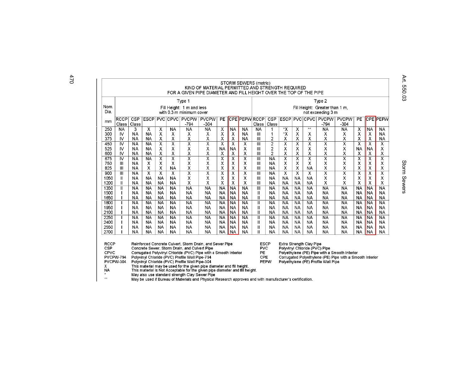|              | STORM SEWERS (metric)<br>KIND OF MATERIAL PERMITTED AND STRENGTH REQUIRED<br>FOR A GIVEN PIPE DIAMETER AND FILL HEIGHT OVER THE TOP OF THE PIPE                                                                                                                    |                 |                           |                              |                              |                              |                              |                         |                                               |                                                     |               |                                  |                                                           |                         |                                                                                                           |                              |                              |                               |                               |                              |
|--------------|--------------------------------------------------------------------------------------------------------------------------------------------------------------------------------------------------------------------------------------------------------------------|-----------------|---------------------------|------------------------------|------------------------------|------------------------------|------------------------------|-------------------------|-----------------------------------------------|-----------------------------------------------------|---------------|----------------------------------|-----------------------------------------------------------|-------------------------|-----------------------------------------------------------------------------------------------------------|------------------------------|------------------------------|-------------------------------|-------------------------------|------------------------------|
|              |                                                                                                                                                                                                                                                                    | Type 1          |                           |                              |                              |                              |                              |                         |                                               |                                                     | Type 2        |                                  |                                                           |                         |                                                                                                           |                              |                              |                               |                               |                              |
| Nom.         | Fill Height: 1 m and less                                                                                                                                                                                                                                          |                 |                           |                              |                              |                              |                              |                         |                                               |                                                     |               |                                  |                                                           |                         |                                                                                                           |                              |                              |                               |                               |                              |
| Dia.         | with 0.3 m minimum cover                                                                                                                                                                                                                                           |                 |                           |                              |                              |                              |                              |                         |                                               | Fill Height: Greater than 1 m,<br>not exceeding 3 m |               |                                  |                                                           |                         |                                                                                                           |                              |                              |                               |                               |                              |
| mm           | <b>RCCP</b><br>Class                                                                                                                                                                                                                                               | CSP<br>Class    | <b>ESCP</b>               |                              | <b>PVC CPVC</b>              | PVCPW<br>$-794$              | <b>PVCPW</b><br>$-304$       | PE                      |                                               | <b>CPE PEPWRCCP</b>                                 | Class         | CSP<br>Class                     | <b>ESCP</b>                                               |                         |                                                                                                           | PVC CPVC PVCPW<br>$-794$     | <b>PVCPW</b><br>$-304$       | PE                            |                               | <b>CPE PEPW</b>              |
| 250          | <b>NA</b>                                                                                                                                                                                                                                                          | 3               | X                         | X                            | NA                           | <b>NA</b>                    | <b>NA</b>                    | х                       | NA                                            | NA                                                  | <b>NA</b>     |                                  | *X                                                        | х                       | #                                                                                                         | <b>NA</b>                    | <b>NA</b>                    | X                             | <b>NA</b>                     | NA                           |
| 300          | IV                                                                                                                                                                                                                                                                 | NA              | NA                        | х                            | х                            | х                            | х                            | Х                       | х                                             | ΝA                                                  | Ш             | 1                                | *χ                                                        | X                       | х                                                                                                         | χ                            | х                            | Х                             | Х                             | NA                           |
| 375          | IV                                                                                                                                                                                                                                                                 | <b>NA</b>       | NA                        | Χ                            | x                            | x                            | Χ                            | Х                       | х                                             | NA                                                  | Ш             | $\overline{c}$                   | χ                                                         | х                       | χ                                                                                                         | χ                            | Χ                            | х                             | х                             | <b>NA</b>                    |
| 450<br>525   | IV<br>IV                                                                                                                                                                                                                                                           | <b>NA</b><br>NA | <b>NA</b><br><b>NA</b>    | $\overline{\textsf{x}}$<br>X | $\overline{\mathsf{x}}$<br>x | $\overline{\textsf{x}}$<br>x | $\overline{\textsf{x}}$<br>х | $\overline{\mathsf{x}}$ | $\overline{\mathsf{x}}$<br>NΑ                 | х<br>х                                              | Ш<br>Ш        | $\overline{2}$<br>$\overline{a}$ | $\overline{\mathsf{x}}$<br>X                              | х<br>Х                  | $\overline{\textsf{x}}$<br>X                                                                              | $\overline{\textsf{x}}$<br>χ | $\overline{\mathsf{x}}$<br>х | $\overline{\textsf{x}}$<br>NA | $\overline{\mathsf{x}}$<br>ΝA | $\overline{\mathsf{x}}$<br>X |
| 600          | IV                                                                                                                                                                                                                                                                 | <b>NA</b>       | <b>NA</b>                 | х                            | х                            | x                            | χ                            | ΝA<br>х                 | X                                             | X                                                   | Ш             | $\overline{a}$                   | χ                                                         | х                       | X                                                                                                         | χ                            | χ                            | Х                             | Х                             | χ                            |
| 675          | IV                                                                                                                                                                                                                                                                 | <b>NA</b>       | <b>NA</b>                 | $\overline{\mathsf{x}}$      | $\overline{\mathsf{x}}$      | $\overline{\mathsf{x}}$      | $\overline{\textsf{x}}$      | $\overline{\mathsf{x}}$ | х                                             | $\overline{\mathsf{x}}$                             | Ш             | <b>NA</b>                        | $\overline{\mathsf{x}}$                                   | $\overline{\mathsf{x}}$ | $\overline{\textsf{x}}$                                                                                   | $\overline{\mathsf{x}}$      | $\overline{\mathsf{x}}$      | $\overline{\mathsf{x}}$       | X                             | $\overline{\textsf{x}}$      |
| 750          | Ш                                                                                                                                                                                                                                                                  | <b>NA</b>       | $\boldsymbol{\mathsf{X}}$ | X                            | х                            | х                            | X                            | х                       | х                                             | х                                                   | Ш             | <b>NA</b>                        | X                                                         | X                       | X                                                                                                         | х                            | х                            | X                             | х                             | χ                            |
| 825          | Ш                                                                                                                                                                                                                                                                  | <b>NA</b>       | X                         | х                            | <b>NA</b>                    | x                            | x                            | X                       | X                                             | X                                                   | Ш             | NA                               | X                                                         | х                       | <b>NA</b>                                                                                                 | χ                            | Х                            | X                             | X                             | χ                            |
| 900          | Ш                                                                                                                                                                                                                                                                  | <b>NA</b>       | $\overline{\textsf{x}}$   | $\overline{\mathsf{x}}$      | х                            | $\overline{\textsf{x}}$      | $\overline{\mathsf{x}}$      | $\overline{\textsf{x}}$ | $\overline{x}$                                | $\overline{\textsf{x}}$                             | Ш             | NA                               | $\overline{\mathsf{x}}$                                   | $\overline{\mathsf{x}}$ | х                                                                                                         | $\overline{\textsf{x}}$      | $\overline{\mathsf{x}}$      | $\overline{\textsf{x}}$       | $\overline{\textsf{x}}$       | $\overline{\mathsf{x}}$      |
| 1050         | Ш                                                                                                                                                                                                                                                                  | NA              | NA                        | <b>NA</b>                    | NA                           | Х                            | х                            | Χ                       | х                                             | х                                                   | Ш             | NA                               | <b>NA</b>                                                 | <b>NA</b>               | <b>NA</b>                                                                                                 | χ                            | х                            | Χ                             | х                             | Χ                            |
| 1200         | $\mathbf{I}$                                                                                                                                                                                                                                                       | NA              | NA                        | NA                           | NA                           | Χ                            | х                            | X                       | х                                             | х                                                   | Ш             | NA                               | <b>NA</b>                                                 | NA                      | NA                                                                                                        | χ                            | χ                            | Χ                             | Χ                             | χ                            |
| 1350         | $\mathbf{I}$                                                                                                                                                                                                                                                       | NA              | NA                        | NA                           | NA                           | <b>NA</b>                    | NA                           | <b>NA</b>               | NA                                            | NA                                                  | Ш             | NA                               | <b>NA</b>                                                 | NA                      | <b>NA</b>                                                                                                 | NA                           | NA                           | NA                            | NA                            | <b>NA</b>                    |
| 1500         |                                                                                                                                                                                                                                                                    | ΝA              | NΑ                        | NΑ                           | NA                           | <b>NA</b>                    | NA                           | <b>NA</b>               | <b>NA</b>                                     | NA                                                  | Ш             | NA                               | <b>NA</b>                                                 | NA                      | <b>NA</b>                                                                                                 | NA                           | NA                           | NΑ                            | <b>NA</b>                     | <b>NA</b>                    |
| 1650<br>1800 |                                                                                                                                                                                                                                                                    | NΑ<br><b>NA</b> | <b>NA</b><br><b>NA</b>    | NΑ<br><b>NA</b>              | NA<br><b>NA</b>              | <b>NA</b><br>NA              | <b>NA</b><br>NA              | NA<br><b>NA</b>         | NA<br><b>NA</b>                               | NA<br><b>NA</b>                                     | Ш<br>Ш        | NΑ<br>NA                         | <b>NA</b>                                                 | NΑ<br><b>NA</b>         | <b>NA</b><br><b>NA</b>                                                                                    | <b>NA</b><br><b>NA</b>       | NA<br>NA                     | NΑ<br><b>NA</b>               | <b>NA</b><br><b>NA</b>        | NA<br><b>NA</b>              |
| 1950         |                                                                                                                                                                                                                                                                    | ΝA              | NA                        | NA                           | NA                           | NA                           | NA                           | NA                      | <b>NA</b>                                     | NA                                                  | Ш             | NA                               | <b>NA</b><br><b>NA</b>                                    | <b>NA</b>               | <b>NA</b>                                                                                                 | <b>NA</b>                    | <b>NA</b>                    | NA                            | <b>NA</b>                     | <b>NA</b>                    |
| 2100         |                                                                                                                                                                                                                                                                    | NA              | <b>NA</b>                 | <b>NA</b>                    | NA                           | <b>NA</b>                    | <b>NA</b>                    | <b>NA</b>               | NA                                            | NA                                                  | $\mathsf{II}$ | NA                               | <b>NA</b>                                                 | NA                      | <b>NA</b>                                                                                                 | <b>NA</b>                    | NA                           | <b>NA</b>                     | <b>NA</b>                     | NA                           |
| 2250         |                                                                                                                                                                                                                                                                    | <b>NA</b>       | <b>NA</b>                 | <b>NA</b>                    | <b>NA</b>                    | <b>NA</b>                    | <b>NA</b>                    | <b>NA</b>               | <b>NA</b>                                     | <b>NA</b>                                           | Ш             | <b>NA</b>                        | <b>NA</b>                                                 | <b>NA</b>               | <b>NA</b>                                                                                                 | <b>NA</b>                    | <b>NA</b>                    | NA                            | <b>NA</b>                     | <b>NA</b>                    |
| 2400         |                                                                                                                                                                                                                                                                    | <b>NA</b>       | NA                        | NA                           | <b>NA</b>                    | NA                           | <b>NA</b>                    | <b>NA</b>               | <b>NA</b>                                     | <b>NA</b>                                           | Ш             | <b>NA</b>                        | <b>NA</b>                                                 | <b>NA</b>               | <b>NA</b>                                                                                                 | <b>NA</b>                    | <b>NA</b>                    | NA                            | <b>NA</b>                     | <b>NA</b>                    |
| 2550         |                                                                                                                                                                                                                                                                    | NА              | NA                        | <b>NA</b>                    | NA                           | NA                           | <b>NA</b>                    | <b>NA</b>               | <b>NA</b>                                     | <b>NA</b>                                           | Ш             | NA                               | <b>NA</b>                                                 | NA.                     | <b>NA</b>                                                                                                 | <b>NA</b>                    | NA                           | NA                            | NA                            | NA                           |
| 2700         |                                                                                                                                                                                                                                                                    | <b>NA</b>       | NA                        | NA                           | NA                           | NA                           | NA                           | <b>NA</b>               | <b>NA</b>                                     | NA                                                  | Ш             | NA                               | <b>NA</b>                                                 | <b>NA</b>               | <b>NA</b>                                                                                                 | <b>NA</b>                    | NA                           | NA                            | <b>NA</b>                     | <b>NA</b>                    |
| CSP          | <b>RCCP</b><br>Reinforced Concrete Culvert, Storm Drain, and Sewer Pipe<br>Concrete Sewer, Storm Drain, and Culvert Pipe<br>CPVC<br>Corrugated Polyvinyl Chloride (PVC) Pipe with a Smooth Interior<br>PVCPW-794<br>Polyvinyl Chloride (PVC) Profile Wall Pipe-794 |                 |                           |                              |                              |                              |                              |                         | <b>ESCP</b><br><b>PVC</b><br><b>PE</b><br>CPE |                                                     |               |                                  | Extra Strength Clay Pipe<br>Polyvinyl Chloride (PVC) Pipe |                         | Polyethylene (PE) Pipe with a Smooth Interior<br>Corrugated Polyethylene (PE) Pipe with a Smooth Interior |                              |                              |                               |                               |                              |

Corrugated Polyethylene (PE) Pipe with a Smooth Interior

Polyethylene (PE) Profile Wall Pipe

X

**NA** 

 $\pm$ 

PVCPW-304

Polyviny Chloride (PVC) Profile Wall Pipe-794<br>
Polyviny Chloride (PVC) Profile Wall Pipe-794<br>
Polyviny Chloride (PVC) Profile Wall Pipe-304<br>
This material may be used for the given pipe diameter and fill height.<br>
This mate  $\pm \pi$ 

470

Art. 550.03 Storm Sewers Storm Sewers

Art. 550.03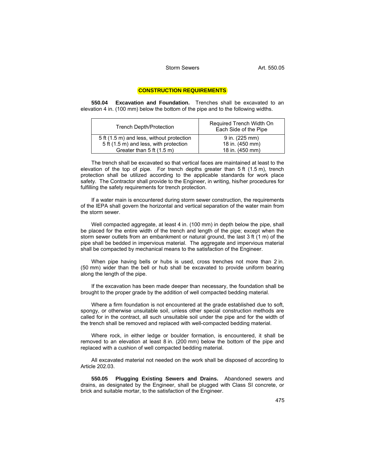## **CONSTRUCTION REQUIREMENTS**

**550.04 Excavation and Foundation.** Trenches shall be excavated to an elevation 4 in. (100 mm) below the bottom of the pipe and to the following widths.

| <b>Trench Depth/Protection</b>            | Required Trench Width On<br>Each Side of the Pipe |  |  |  |  |  |
|-------------------------------------------|---------------------------------------------------|--|--|--|--|--|
| 5 ft (1.5 m) and less, without protection | 9 in. (225 mm)                                    |  |  |  |  |  |
| 5 ft (1.5 m) and less, with protection    | 18 in. (450 mm)                                   |  |  |  |  |  |
| Greater than $5$ ft $(1.5 \text{ m})$     | 18 in. (450 mm)                                   |  |  |  |  |  |

The trench shall be excavated so that vertical faces are maintained at least to the elevation of the top of pipe. For trench depths greater than 5 ft (1.5 m), trench protection shall be utilized according to the applicable standards for work place safety. The Contractor shall provide to the Engineer, in writing, his/her procedures for fulfilling the safety requirements for trench protection.

If a water main is encountered during storm sewer construction, the requirements of the IEPA shall govern the horizontal and vertical separation of the water main from the storm sewer.

Well compacted aggregate, at least 4 in. (100 mm) in depth below the pipe, shall be placed for the entire width of the trench and length of the pipe; except when the storm sewer outlets from an embankment or natural ground, the last 3 ft (1 m) of the pipe shall be bedded in impervious material. The aggregate and impervious material shall be compacted by mechanical means to the satisfaction of the Engineer.

When pipe having bells or hubs is used, cross trenches not more than 2 in. (50 mm) wider than the bell or hub shall be excavated to provide uniform bearing along the length of the pipe.

If the excavation has been made deeper than necessary, the foundation shall be brought to the proper grade by the addition of well compacted bedding material.

Where a firm foundation is not encountered at the grade established due to soft, spongy, or otherwise unsuitable soil, unless other special construction methods are called for in the contract, all such unsuitable soil under the pipe and for the width of the trench shall be removed and replaced with well-compacted bedding material.

Where rock, in either ledge or boulder formation, is encountered, it shall be removed to an elevation at least 8 in. (200 mm) below the bottom of the pipe and replaced with a cushion of well compacted bedding material.

All excavated material not needed on the work shall be disposed of according to Article 202.03.

**550.05 Plugging Existing Sewers and Drains.** Abandoned sewers and drains, as designated by the Engineer, shall be plugged with Class SI concrete, or brick and suitable mortar, to the satisfaction of the Engineer.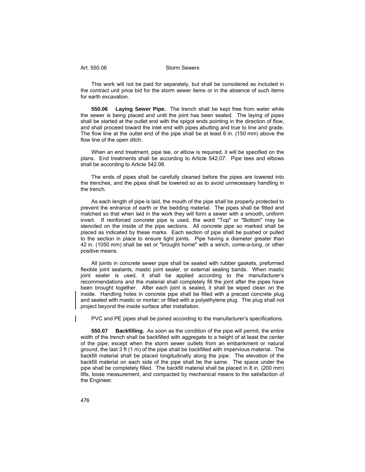This work will not be paid for separately, but shall be considered as included in the contract unit price bid for the storm sewer items or in the absence of such items for earth excavation.

**550.06 Laying Sewer Pipe.** The trench shall be kept free from water while the sewer is being placed and until the joint has been sealed. The laying of pipes shall be started at the outlet end with the spigot ends pointing in the direction of flow, and shall proceed toward the inlet end with pipes abutting and true to line and grade. The flow line at the outlet end of the pipe shall be at least 6 in. (150 mm) above the flow line of the open ditch.

When an end treatment, pipe tee, or elbow is required, it will be specified on the plans. End treatments shall be according to Article 542.07. Pipe tees and elbows shall be according to Article 542.08.

The ends of pipes shall be carefully cleaned before the pipes are lowered into the trenches, and the pipes shall be lowered so as to avoid unnecessary handling in the trench.

As each length of pipe is laid, the mouth of the pipe shall be properly protected to prevent the entrance of earth or the bedding material. The pipes shall be fitted and matched so that when laid in the work they will form a sewer with a smooth, uniform invert. If reinforced concrete pipe is used, the word "Top" or "Bottom" may be stenciled on the inside of the pipe sections. All concrete pipe so marked shall be placed as indicated by these marks. Each section of pipe shall be pushed or pulled to the section in place to ensure tight joints. Pipe having a diameter greater than 42 in. (1050 mm) shall be set or "brought home" with a winch, come-a-long, or other positive means.

All joints in concrete sewer pipe shall be sealed with rubber gaskets, preformed flexible joint sealants, mastic joint sealer, or external sealing bands. When mastic joint sealer is used, it shall be applied according to the manufacturer's recommendations and the material shall completely fill the joint after the pipes have been brought together. After each joint is sealed, it shall be wiped clean on the inside. Handling holes in concrete pipe shall be filled with a precast concrete plug and sealed with mastic or mortar; or filled with a polyethylene plug. The plug shall not project beyond the inside surface after installation.

PVC and PE pipes shall be joined according to the manufacturer's specifications.

**550.07 Backfilling.** As soon as the condition of the pipe will permit, the entire width of the trench shall be backfilled with aggregate to a height of at least the center of the pipe; except when the storm sewer outlets from an embankment or natural ground, the last 3 ft (1 m) of the pipe shall be backfilled with impervious material. The backfill material shall be placed longitudinally along the pipe. The elevation of the backfill material on each side of the pipe shall be the same. The space under the pipe shall be completely filled. The backfill material shall be placed in 8 in. (200 mm) lifts, loose measurement, and compacted by mechanical means to the satisfaction of the Engineer.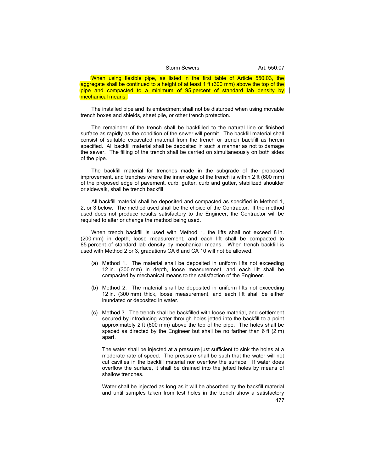#### Storm Sewers **Art.** 550.07

When using flexible pipe, as listed in the first table of Article 550.03, the aggregate shall be continued to a height of at least 1 ft (300 mm) above the top of the pipe and compacted to a minimum of 95 percent of standard lab density by mechanical means.

The installed pipe and its embedment shall not be disturbed when using movable trench boxes and shields, sheet pile, or other trench protection.

The remainder of the trench shall be backfilled to the natural line or finished surface as rapidly as the condition of the sewer will permit. The backfill material shall consist of suitable excavated material from the trench or trench backfill as herein specified. All backfill material shall be deposited in such a manner as not to damage the sewer. The filling of the trench shall be carried on simultaneously on both sides of the pipe.

The backfill material for trenches made in the subgrade of the proposed improvement, and trenches where the inner edge of the trench is within 2 ft (600 mm) of the proposed edge of pavement, curb, gutter, curb and gutter, stabilized shoulder or sidewalk, shall be trench backfill

All backfill material shall be deposited and compacted as specified in Method 1, 2, or 3 below. The method used shall be the choice of the Contractor. If the method used does not produce results satisfactory to the Engineer, the Contractor will be required to alter or change the method being used.

When trench backfill is used with Method 1, the lifts shall not exceed 8 in. (200 mm) in depth, loose measurement, and each lift shall be compacted to 85 percent of standard lab density by mechanical means. When trench backfill is used with Method 2 or 3, gradations CA 6 and CA 10 will not be allowed.

- (a) Method 1. The material shall be deposited in uniform lifts not exceeding 12 in. (300 mm) in depth, loose measurement, and each lift shall be compacted by mechanical means to the satisfaction of the Engineer.
- (b) Method 2. The material shall be deposited in uniform lifts not exceeding 12 in. (300 mm) thick, loose measurement, and each lift shall be either inundated or deposited in water.
- (c) Method 3. The trench shall be backfilled with loose material, and settlement secured by introducing water through holes jetted into the backfill to a point approximately 2 ft (600 mm) above the top of the pipe. The holes shall be spaced as directed by the Engineer but shall be no farther than  $6 \text{ ft} (2 \text{ m})$ apart.

The water shall be injected at a pressure just sufficient to sink the holes at a moderate rate of speed. The pressure shall be such that the water will not cut cavities in the backfill material nor overflow the surface. If water does overflow the surface, it shall be drained into the jetted holes by means of shallow trenches.

Water shall be injected as long as it will be absorbed by the backfill material and until samples taken from test holes in the trench show a satisfactory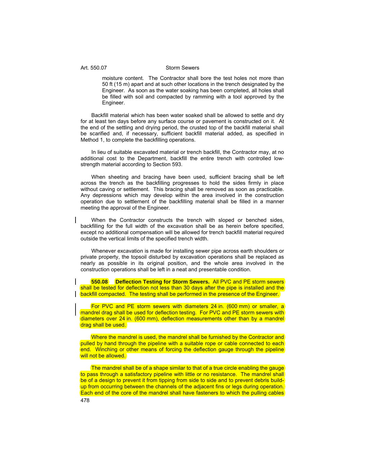moisture content. The Contractor shall bore the test holes not more than 50 ft (15 m) apart and at such other locations in the trench designated by the Engineer. As soon as the water soaking has been completed, all holes shall be filled with soil and compacted by ramming with a tool approved by the Engineer.

Backfill material which has been water soaked shall be allowed to settle and dry for at least ten days before any surface course or pavement is constructed on it. At the end of the settling and drying period, the crusted top of the backfill material shall be scarified and, if necessary, sufficient backfill material added, as specified in Method 1, to complete the backfilling operations.

In lieu of suitable excavated material or trench backfill, the Contractor may, at no additional cost to the Department, backfill the entire trench with controlled lowstrength material according to Section 593.

When sheeting and bracing have been used, sufficient bracing shall be left across the trench as the backfilling progresses to hold the sides firmly in place without caving or settlement. This bracing shall be removed as soon as practicable. Any depressions which may develop within the area involved in the construction operation due to settlement of the backfilling material shall be filled in a manner meeting the approval of the Engineer.

When the Contractor constructs the trench with sloped or benched sides, backfilling for the full width of the excavation shall be as herein before specified, except no additional compensation will be allowed for trench backfill material required outside the vertical limits of the specified trench width.

Whenever excavation is made for installing sewer pipe across earth shoulders or private property, the topsoil disturbed by excavation operations shall be replaced as nearly as possible in its original position, and the whole area involved in the construction operations shall be left in a neat and presentable condition.

**550.08 Deflection Testing for Storm Sewers.** All PVC and PE storm sewers shall be tested for deflection not less than 30 days after the pipe is installed and the backfill compacted. The testing shall be performed in the presence of the Engineer.

For PVC and PE storm sewers with diameters 24 in. (600 mm) or smaller, a mandrel drag shall be used for deflection testing. For PVC and PE storm sewers with diameters over 24 in. (600 mm), deflection measurements other than by a mandrel drag shall be used.

Where the mandrel is used, the mandrel shall be furnished by the Contractor and pulled by hand through the pipeline with a suitable rope or cable connected to each end. Winching or other means of forcing the deflection gauge through the pipeline will not be allowed.

The mandrel shall be of a shape similar to that of a true circle enabling the gauge to pass through a satisfactory pipeline with little or no resistance. The mandrel shall be of a design to prevent it from tipping from side to side and to prevent debris buildup from occurring between the channels of the adjacent fins or legs during operation. Each end of the core of the mandrel shall have fasteners to which the pulling cables